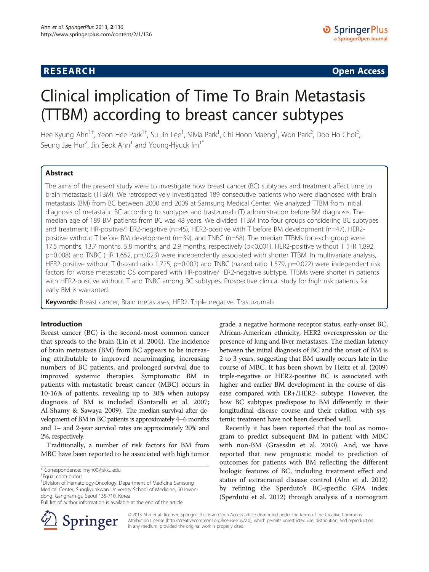## **RESEARCH CHINESE ARCH CHINESE ARCH CHINESE ARCH <b>CHINESE ARCH**

# Clinical implication of Time To Brain Metastasis (TTBM) according to breast cancer subtypes

Hee Kyung Ahn<sup>1†</sup>, Yeon Hee Park<sup>1†</sup>, Su Jin Lee<sup>1</sup>, Silvia Park<sup>1</sup>, Chi Hoon Maeng<sup>1</sup>, Won Park<sup>2</sup>, Doo Ho Choi<sup>2</sup> , Seung Jae Hur<sup>2</sup>, Jin Seok Ahn<sup>1</sup> and Young-Hyuck Im<sup>1\*</sup>

## Abstract

The aims of the present study were to investigate how breast cancer (BC) subtypes and treatment affect time to brain metastasis (TTBM). We retrospectively investigated 189 consecutive patients who were diagnosed with brain metastasis (BM) from BC between 2000 and 2009 at Samsung Medical Center. We analyzed TTBM from initial diagnosis of metastatic BC according to subtypes and trastzumab (T) administration before BM diagnosis. The median age of 189 BM patients from BC was 48 years. We divided TTBM into four groups considering BC subtypes and treatment; HR-positive/HER2-negative (n=45), HER2-positive with T before BM development (n=47), HER2 positive without T before BM development (n=39), and TNBC (n=58). The median TTBMs for each group were 17.5 months, 13.7 months, 5.8 months, and 2.9 months, respectively (p<0.001). HER2-positive without T (HR 1.892, p=0.008) and TNBC (HR 1.652, p=0.023) were independently associated with shorter TTBM. In multivariate analysis, HER2-positive without T (hazard ratio 1.725, p=0.002) and TNBC (hazard ratio 1.579, p=0.022) were independent risk factors for worse metastatic OS compared with HR-positive/HER2-negative subtype. TTBMs were shorter in patients with HER2-positive without T and TNBC among BC subtypes. Prospective clinical study for high risk patients for early BM is warranted.

**Keywords:** Breast cancer, Brain metastases, HER2, Triple negative, Trastuzumab

## Introduction

Breast cancer (BC) is the second-most common cancer that spreads to the brain (Lin et al. [2004\)](#page-6-0). The incidence of brain metastasis (BM) from BC appears to be increasing attributable to improved neuroimaging, increasing numbers of BC patients, and prolonged survival due to improved systemic therapies. Symptomatic BM in patients with metastatic breast cancer (MBC) occurs in 10-16% of patients, revealing up to 30% when autopsy diagnosis of BM is included (Santarelli et al. [2007](#page-6-0); Al-Shamy & Sawaya [2009](#page-5-0)). The median survival after development of BM in BC patients is approximately 4–6 months and 1– and 2-year survival rates are approximately 20% and 2%, respectively.

Traditionally, a number of risk factors for BM from MBC have been reported to be associated with high tumor



grade, a negative hormone receptor status, early-onset BC,

Recently it has been reported that the tool as nomogram to predict subsequent BM in patient with MBC with non-BM (Graesslin et al. [2010](#page-6-0)). And, we have reported that new prognostic model to prediction of outcomes for patients with BM reflecting the different biologic features of BC, including treatment effect and status of extracranial disease control (Ahn et al. [2012](#page-5-0)) by refining the Sperduto's BC-specific GPA index (Sperduto et al. [2012\)](#page-6-0) through analysis of a nomogram



© 2013 Ahn et al.; licensee Springer. This is an Open Access article distributed under the terms of the Creative Commons Attribution License [\(http://creativecommons.org/licenses/by/2.0\)](http://creativecommons.org/licenses/by/2.0), which permits unrestricted use, distribution, and reproduction in any medium, provided the original work is properly cited.

<sup>\*</sup> Correspondence: [imyh00@skku.edu](mailto:imyh00@skku.edu) †

Equal contributors

<sup>&</sup>lt;sup>1</sup> Division of Hematology-Oncology, Department of Medicine Samsung Medical Center, Sungkyunkwan University School of Medicine, 50 Irwondong, Gangnam-gu Seoul 135-710, Korea

Full list of author information is available at the end of the article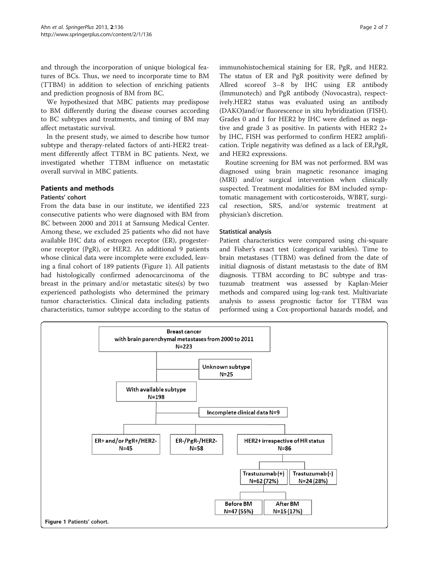and through the incorporation of unique biological features of BCs. Thus, we need to incorporate time to BM (TTBM) in addition to selection of enriching patients and prediction prognosis of BM from BC.

We hypothesized that MBC patients may predispose to BM differently during the disease courses according to BC subtypes and treatments, and timing of BM may affect metastatic survival.

In the present study, we aimed to describe how tumor subtype and therapy-related factors of anti-HER2 treatment differently affect TTBM in BC patients. Next, we investigated whether TTBM influence on metastatic overall survival in MBC patients.

## Patients and methods

## Patients' cohort

From the data base in our institute, we identified 223 consecutive patients who were diagnosed with BM from BC between 2000 and 2011 at Samsung Medical Center. Among these, we excluded 25 patients who did not have available IHC data of estrogen receptor (ER), progesterone receptor (PgR), or HER2. An additional 9 patients whose clinical data were incomplete were excluded, leaving a final cohort of 189 patients (Figure 1). All patients had histologically confirmed adenocarcinoma of the breast in the primary and/or metastatic sites(s) by two experienced pathologists who determined the primary tumor characteristics. Clinical data including patients characteristics, tumor subtype according to the status of immunohistochemical staining for ER, PgR, and HER2. The status of ER and PgR positivity were defined by Allred scoreof 3–8 by IHC using ER antibody (Immunotech) and PgR antibody (Novocastra), respectively.HER2 status was evaluated using an antibody (DAKO)and/or fluorescence in situ hybridization (FISH). Grades 0 and 1 for HER2 by IHC were defined as negative and grade 3 as positive. In patients with HER2 2+ by IHC, FISH was performed to confirm HER2 amplification. Triple negativity was defined as a lack of ER,PgR, and HER2 expressions.

Routine screening for BM was not performed. BM was diagnosed using brain magnetic resonance imaging (MRI) and/or surgical intervention when clinically suspected. Treatment modalities for BM included symptomatic management with corticosteroids, WBRT, surgical resection, SRS, and/or systemic treatment at physician's discretion.

#### Statistical analysis

Patient characteristics were compared using chi-square and Fisher's exact test (categorical variables). Time to brain metastases (TTBM) was defined from the date of initial diagnosis of distant metastasis to the date of BM diagnosis. TTBM according to BC subtype and trastuzumab treatment was assessed by Kaplan-Meier methods and compared using log-rank test. Multivariate analysis to assess prognostic factor for TTBM was performed using a Cox-proportional hazards model, and

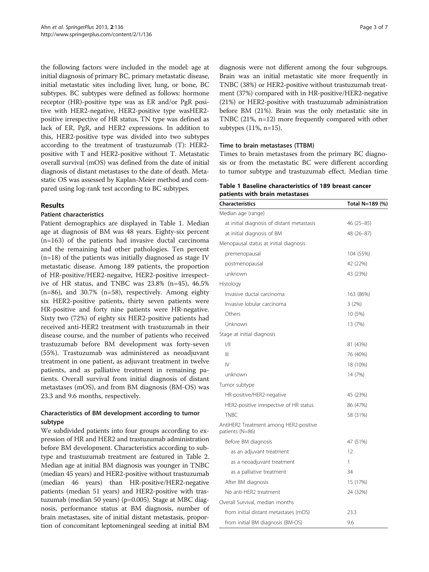the following factors were included in the model: age at initial diagnosis of primary BC, primary metastatic disease, initial metastatic sites including liver, lung, or bone, BC subtypes. BC subtypes were defined as follows: hormone receptor (HR)-positive type was as ER and/or PgR positive with HER2-negative, HER2-positive type wasHER2 positive irrespective of HR status, TN type was defined as lack of ER, PgR, and HER2 expressions. In addition to this, HER2-positive type was divided into two subtypes according to the treatment of trastuzumab (T): HER2 positive with T and HER2-positive without T. Metastatic overall survival (mOS) was defined from the date of initial diagnosis of distant metastases to the date of death. Metastatic OS was assessed by Kaplan-Meier method and compared using log-rank test according to BC subtypes.

## Results

## Patient characteristics

Patient demographics are displayed in Table 1. Median age at diagnosis of BM was 48 years. Eighty-six percent (n=163) of the patients had invasive ductal carcinoma and the remaining had other pathologies. Ten percent  $(n=18)$  of the patients was initially diagnosed as stage IV metastatic disease. Among 189 patients, the proportion of HR-positive/HER2-negaitve, HER2-positive irrespective of HR status, and TNBC was 23.8% (n=45), 46.5% (n=86), and 30.7% (n=58), respectively. Among eighty six HER2-positive patients, thirty seven patients were HR-positive and forty nine patients were HR-negative. Sixty two (72%) of eighty six HER2-positive patients had received anti-HER2 treatment with trastuzumab in their disease course, and the number of patients who received trastuzumab before BM development was forty-seven (55%). Trastuzumab was administered as neoadjuvant treatment in one patient, as adjuvant treatment in twelve patients, and as palliative treatment in remaining patients. Overall survival from initial diagnosis of distant metastases (mOS), and from BM diagnosis (BM-OS) was 23.3 and 9.6 months, respectively.

## Characteristics of BM development according to tumor subtype

We subdivided patients into four groups according to expression of HR and HER2 and trastuzumab administration before BM development. Characteristics according to subtype and trastuzumab treatment are featured in Table [2](#page-3-0). Median age at initial BM diagnosis was younger in TNBC (median 45 years) and HER2-positive without trastuzumab (median 46 years) than HR-positive/HER2-negative patients (median 51 years) and HER2-positive with trastuzumab (median 50 years) (p=0.005). Stage at MBC diagnosis, performance status at BM diagnosis, number of brain metastases, site of initial distant metastasis, proportion of concomitant leptomeningeal seeding at initial BM

diagnosis were not different among the four subgroups. Brain was an initial metastatic site more frequently in TNBC (38%) or HER2-positive without trastuzumab treatment (37%) compared with in HR-positive/HER2-negative (21%) or HER2-positive with trastuzumab administration before BM (21%). Brain was the only metastatic site in TNBC (21%, n=12) more frequently compared with other subtypes (11%, n=15).

#### Time to brain metastases (TTBM)

Times to brain metastases from the primary BC diagnosis or from the metastatic BC were different according to tumor subtype and trastuzumab effect. Median time

Table 1 Baseline characteristics of 189 breast cancer patients with brain metastases

| Characteristics                                           | Total N=189 (%) |  |  |
|-----------------------------------------------------------|-----------------|--|--|
| Median age (range)                                        |                 |  |  |
| at initial diagnosis of distant metastasis                | 46 (25 - 85)    |  |  |
| at initial diagnosis of BM                                | 48 (26-87)      |  |  |
| Menopausal status at initial diagnosis                    |                 |  |  |
| premenopausal                                             | 104 (55%)       |  |  |
| postmenopausal                                            | 42 (22%)        |  |  |
| unknown                                                   | 43 (23%)        |  |  |
| Histology                                                 |                 |  |  |
| Invasive ductal carcinoma                                 | 163 (86%)       |  |  |
| Invasive lobular carcinoma                                | 3(2%)           |  |  |
| Others                                                    | 10 (5%)         |  |  |
| Unknown                                                   | 13 (7%)         |  |  |
| Stage at initial diagnosis                                |                 |  |  |
| /                                                         | 81 (43%)        |  |  |
| $\mathbb{H}$                                              | 76 (40%)        |  |  |
| $\mathsf{IV}$                                             | 18 (10%)        |  |  |
| unknown                                                   | 14 (7%)         |  |  |
| Tumor subtype                                             |                 |  |  |
| HR-positive/HER2-negative                                 | 45 (23%)        |  |  |
| HER2-positive irrespective of HR status                   | 86 (47%)        |  |  |
| <b>TNBC</b>                                               | 58 (31%)        |  |  |
| AntiHER2 Treatment among HER2-positive<br>patients (N=86) |                 |  |  |
| Before BM diagnosis                                       | 47 (51%)        |  |  |
| as an adjuvant treatment                                  | 12              |  |  |
| as a neoadjuvant treatment                                | 1               |  |  |
| as a palliative treatment                                 | 34              |  |  |
| After BM diagnosis                                        | 15 (17%)        |  |  |
| No anti-HER2 treatment                                    | 24 (32%)        |  |  |
| Overall Survival, median months                           |                 |  |  |
| from initial distant metastases (mOS)                     | 23.3            |  |  |
| from initial BM diagnosis (BM-OS)                         | 9.6             |  |  |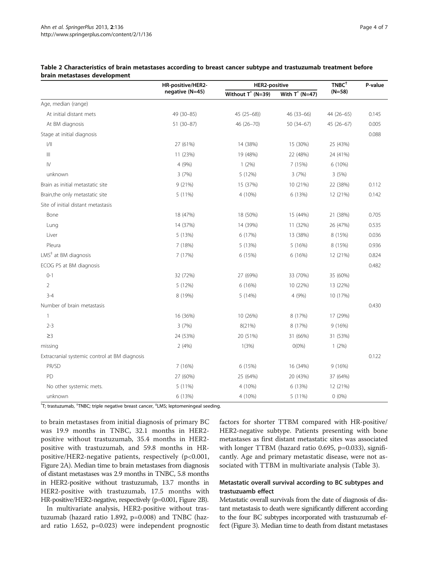|                                               | HR-positive/HER2-<br>negative (N=45) | <b>HER2-positive</b> |                   | $TNBC+$    | P-value |
|-----------------------------------------------|--------------------------------------|----------------------|-------------------|------------|---------|
|                                               |                                      | Without $T^*$ (N=39) | With $T^*$ (N=47) | $(N=58)$   |         |
| Age, median (range)                           |                                      |                      |                   |            |         |
| At initial distant mets                       | 49 (30-85)                           | $45(25-68)$          | $46(33-66)$       | 44 (26-65) | 0.145   |
| At BM diagnosis                               | 51 (30-87)                           | 46 (26-70)           | $50(34-67)$       | 45 (26-67) | 0.005   |
| Stage at initial diagnosis                    |                                      |                      |                   |            | 0.088   |
| 1/11                                          | 27 (61%)                             | 14 (38%)             | 15 (30%)          | 25 (43%)   |         |
| $\mathbb{H}$                                  | 11 (23%)                             | 19 (48%)             | 22 (48%)          | 24 (41%)   |         |
| $\mathsf{IV}$                                 | 4 (9%)                               | $1(2\%)$             | 7(15%)            | 6 (10%)    |         |
| unknown                                       | 3(7%)                                | 5 (12%)              | 3(7%)             | 3(5%)      |         |
| Brain as initial metastatic site              | 9(21%)                               | 15 (37%)             | 10 (21%)          | 22 (38%)   | 0.112   |
| Brain, the only metastatic site               | 5 (11%)                              | 4 (10%)              | 6 (13%)           | 12 (21%)   | 0.142   |
| Site of initial distant metastasis            |                                      |                      |                   |            |         |
| Bone                                          | 18 (47%)                             | 18 (50%)             | 15 (44%)          | 21 (38%)   | 0.705   |
| Lung                                          | 14 (37%)                             | 14 (39%)             | 11 (32%)          | 26 (47%)   | 0.535   |
| Liver                                         | 5 (13%)                              | 6 (17%)              | 13 (38%)          | 8 (15%)    | 0.036   |
| Pleura                                        | 7(18%)                               | 5 (13%)              | 5(16%)            | 8 (15%)    | 0.936   |
| LMS <sup>#</sup> at BM diagnosis              | 7 (17%)                              | 6 (15%)              | 6(16%)            | 12 (21%)   | 0.824   |
| ECOG PS at BM diagnosis                       |                                      |                      |                   |            | 0.482   |
| $0 - 1$                                       | 32 (72%)                             | 27 (69%)             | 33 (70%)          | 35 (60%)   |         |
| 2                                             | 5 (12%)                              | 6(16%)               | 10 (22%)          | 13 (22%)   |         |
| $3 - 4$                                       | 8 (19%)                              | 5(14%)               | 4 (9%)            | 10 (17%)   |         |
| Number of brain metastasis                    |                                      |                      |                   |            | 0.430   |
| $\mathbf{1}$                                  | 16 (36%)                             | 10 (26%)             | 8 (17%)           | 17 (29%)   |         |
| $2 - 3$                                       | 3(7%)                                | 8(21%)               | 8 (17%)           | 9(16%)     |         |
| $\geq$ 3                                      | 24 (53%)                             | 20 (51%)             | 31 (66%)          | 31 (53%)   |         |
| missing                                       | 2(4%)                                | 1(3%)                | $O(0\%)$          | $1(2\%)$   |         |
| Extracranial systemic control at BM diagnosis |                                      |                      |                   |            | 0.122   |
| PR/SD                                         | 7 (16%)                              | 6 (15%)              | 16 (34%)          | 9(16%)     |         |
| PD                                            | 27 (60%)                             | 25 (64%)             | 20 (43%)          | 37 (64%)   |         |
| No other systemic mets.                       | 5 (11%)                              | 4 (10%)              | 6 (13%)           | 12 (21%)   |         |
| unknown                                       | 6 (13%)                              | 4 (10%)              | 5 (11%)           | $0(0\%)$   |         |

#### <span id="page-3-0"></span>Table 2 Characteristics of brain metastases according to breast cancer subtype and trastuzumab treatment before brain metastases development

 $\hbox{}^\ast$ T; trastuzumab,  $\hbox{}^\dag\textsf{T}$ NBC; triple negative breast cancer,  $\hbox{}^\dag\textsf{LMS}$ ; leptomeningeal seeding.

to brain metastases from initial diagnosis of primary BC was 19.9 months in TNBC, 32.1 months in HER2 positive without trastuzumab, 35.4 months in HER2 positive with trastuzumab, and 59.8 months in HRpositive/HER2-negative patients, respectively (p<0.001, Figure [2A](#page-4-0)). Median time to brain metastases from diagnosis of distant metastases was 2.9 months in TNBC, 5.8 months in HER2-positive without trastuzumab, 13.7 months in HER2-positive with trastuzumab, 17.5 months with HR-positive/HER2-negative, respectively (p=0.001, Figure [2](#page-4-0)B).

In multivariate analysis, HER2-positive without trastuzumab (hazard ratio 1.892, p=0.008) and TNBC (hazard ratio 1.652, p=0.023) were independent prognostic factors for shorter TTBM compared with HR-positive/ HER2-negative subtype. Patients presenting with bone metastases as first distant metastatic sites was associated with longer TTBM (hazard ratio 0.695, p=0.033), significantly. Age and primary metastatic disease, were not associated with TTBM in multivariate analysis (Table [3](#page-4-0)).

## Metastatic overall survival according to BC subtypes and trastuzuamb effect

Metastatic overall survivals from the date of diagnosis of distant metastasis to death were significantly different according to the four BC subtypes incorporated with trastuzumab effect (Figure [3](#page-4-0)). Median time to death from distant metastases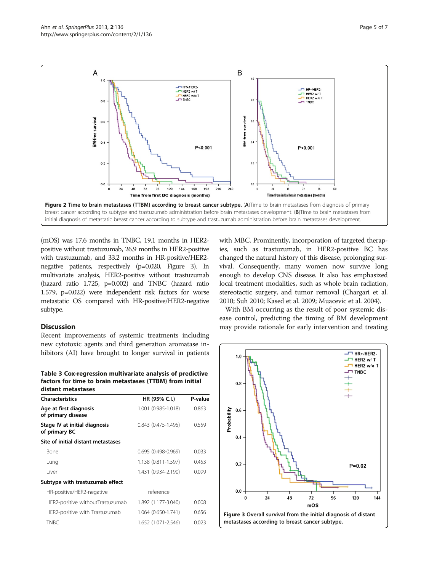<span id="page-4-0"></span>

(mOS) was 17.6 months in TNBC, 19.1 months in HER2 positive without trastuzumab, 26.9 months in HER2-positive with trastuzumab, and 33.2 months in HR-positive/HER2 negative patients, respectively (p=0.020, Figure 3). In multivariate analysis, HER2-positive without trastuzumab (hazard ratio 1.725, p=0.002) and TNBC (hazard ratio 1.579, p=0.022) were independent risk factors for worse metastatic OS compared with HR-positive/HER2-negative subtype.

## Discussion

Recent improvements of systemic treatments including new cytotoxic agents and third generation aromatase inhibitors (AI) have brought to longer survival in patients

Table 3 Cox-regression multivariate analysis of predictive factors for time to brain metastases (TTBM) from initial distant metastases

| <b>Characteristics</b>                         | HR (95% C.I.)                | P-value<br>0.863 |  |
|------------------------------------------------|------------------------------|------------------|--|
| Age at first diagnosis<br>of primary disease   | 1.001 (0.985-1.018)          |                  |  |
| Stage IV at initial diagnosis<br>of primary BC | $0.843$ $(0.475 - 1.495)$    | 0.559            |  |
| Site of initial distant metastases             |                              |                  |  |
| Bone                                           | $0.695(0.498-0.969)$         | 0.033            |  |
| Lung                                           | 1.138 (0.811-1.597)          | 0.453            |  |
| l iver                                         | 1.431 (0.934-2.190)          | 0.099            |  |
| Subtype with trastuzumab effect                |                              |                  |  |
| HR-positive/HER2-negative                      | reference                    |                  |  |
| HER2-positive withoutTrastuzumab               | 1.892 (1.177-3.040)          | 0.008            |  |
| HER2-positive with Trastuzumab                 | 1.064 (0.650-1.741)<br>0.656 |                  |  |
| <b>TNBC</b>                                    | 1.652 (1.071-2.546)          | 0.023            |  |

with MBC. Prominently, incorporation of targeted therapies, such as trastuzumab, in HER2-positive BC has changed the natural history of this disease, prolonging survival. Consequently, many women now survive long enough to develop CNS disease. It also has emphasized local treatment modalities, such as whole brain radiation, stereotactic surgery, and tumor removal (Chargari et al. [2010](#page-5-0); Suh [2010;](#page-6-0) Kased et al. [2009;](#page-6-0) Muacevic et al. [2004](#page-6-0)).

With BM occurring as the result of poor systemic disease control, predicting the timing of BM development may provide rationale for early intervention and treating

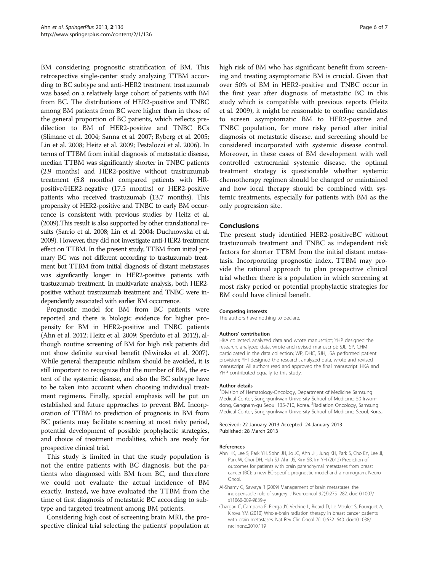<span id="page-5-0"></span>BM considering prognostic stratification of BM. This retrospective single-center study analyzing TTBM according to BC subtype and anti-HER2 treatment trastuzumab was based on a relatively large cohort of patients with BM from BC. The distributions of HER2-positive and TNBC among BM patients from BC were higher than in those of the general proportion of BC patients, which reflects predilection to BM of HER2-positive and TNBC BCs (Slimane et al. [2004](#page-6-0); Sanna et al. [2007;](#page-6-0) Ryberg et al. [2005](#page-6-0); Lin et al. [2008](#page-6-0); Heitz et al. [2009](#page-6-0); Pestalozzi et al. [2006\)](#page-6-0). In terms of TTBM from initial diagnosis of metastatic disease, median TTBM was significantly shorter in TNBC patients (2.9 months) and HER2-positive without trastruzumab treatment (5.8 months) compared patients with HRpositive/HER2-negative (17.5 months) or HER2-positive patients who received trastuzumab (13.7 months). This propensity of HER2-positive and TNBC to early BM occurrence is consistent with previous studies by Heitz et al. ([2009](#page-6-0)).This result is also supported by other translational results (Sarrio et al. [2008;](#page-6-0) Lin et al. [2004;](#page-6-0) Duchnowska et al. [2009](#page-6-0)). However, they did not investigate anti-HER2 treatment effect on TTBM. In the present study, TTBM from initial primary BC was not different according to trastuzumab treatment but TTBM from initial diagnosis of distant metastases was significantly longer in HER2-positive patients with trastuzumab treatment. In multivariate analysis, both HER2 positive without trastuzumab treatment and TNBC were independently associated with earlier BM occurrence.

Prognostic model for BM from BC patients were reported and there is biologic evidence for higher propensity for BM in HER2-positive and TNBC patients (Ahn et al. 2012; Heitz et al. [2009;](#page-6-0) Sperduto et al. [2012\)](#page-6-0), although routine screening of BM for high risk patients did not show definite survival benefit (Niwinska et al. [2007](#page-6-0)). While general therapeutic nihilism should be avoided, it is still important to recognize that the number of BM, the extent of the systemic disease, and also the BC subtype have to be taken into account when choosing individual treatment regimens. Finally, special emphasis will be put on established and future approaches to prevent BM. Incorporation of TTBM to prediction of prognosis in BM from BC patients may facilitate screening at most risky period, potential development of possible prophylactic strategies, and choice of treatment modalities, which are ready for prospective clinical trial.

This study is limited in that the study population is not the entire patients with BC diagnosis, but the patients who diagnosed with BM from BC, and therefore we could not evaluate the actual incidence of BM exactly. Instead, we have evaluated the TTBM from the time of first diagnosis of metastatic BC according to subtype and targeted treatment among BM patients.

Considering high cost of screening brain MRI, the prospective clinical trial selecting the patients' population at high risk of BM who has significant benefit from screening and treating asymptomatic BM is crucial. Given that over 50% of BM in HER2-positive and TNBC occur in the first year after diagnosis of metastatic BC in this study which is compatible with previous reports (Heitz et al. [2009](#page-6-0)), it might be reasonable to confine candidates to screen asymptomatic BM to HER2-positive and TNBC population, for more risky period after initial diagnosis of metastatic disease, and screening should be considered incorporated with systemic disease control. Moreover, in these cases of BM development with well controlled extracranial systemic disease, the optimal treatment strategy is questionable whether systemic chemotherapy regimen should be changed or maintained and how local therapy should be combined with systemic treatments, especially for patients with BM as the only progression site.

#### Conclusions

The present study identified HER2-positiveBC without trastuzumab treatment and TNBC as independent risk factors for shorter TTBM from the initial distant metastasis. Incorporating prognostic index, TTBM may provide the rational approach to plan prospective clinical trial whether there is a population in which screening at most risky period or potential prophylactic strategies for BM could have clinical benefit.

#### Competing interests

The authors have nothing to declare.

#### Authors' contribution

HKA collected, analyzed data and wrote manuscript; YHP designed the research, analyzed data, wrote and revised manuscript; SJL, SP, CHM participated in the data collection; WP, DHC, SJH, JSA performed patient provision; YHI designed the research, analyzed data, wrote and revised manuscript. All authors read and approved the final manuscript. HKA and YHP contributed equally to this study.

#### Author details

<sup>1</sup> Division of Hematology-Oncology, Department of Medicine Samsung Medical Center, Sungkyunkwan University School of Medicine, 50 Irwondong, Gangnam-gu Seoul 135-710, Korea. <sup>2</sup>Radiation Oncology, Samsung Medical Center, Sungkyunkwan University School of Medicine, Seoul, Korea.

#### Received: 22 January 2013 Accepted: 24 January 2013 Published: 28 March 2013

#### References

- Ahn HK, Lee S, Park YH, Sohn JH, Jo JC, Ahn JH, Jung KH, Park S, Cho EY, Lee JI, Park W, Choi DH, Huh SJ, Ahn JS, Kim SB, Im YH (2012) Prediction of outcomes for patients with brain parenchymal metastases from breast cancer (BC): a new BC-specific prognostic model and a nomogram. Neuro Oncol.
- Al-Shamy G, Sawaya R (2009) Management of brain metastases: the indispensable role of surgery. J Neurooncol 92(3):275–282. doi[:10.1007/](http://dx.doi.org/10.1007/s11060-009-9839-y) [s11060-009-9839-y](http://dx.doi.org/10.1007/s11060-009-9839-y)
- Chargari C, Campana F, Pierga JY, Vedrine L, Ricard D, Le Moulec S, Fourquet A, Kirova YM (2010) Whole-brain radiation therapy in breast cancer patients with brain metastases. Nat Rev Clin Oncol 7(11):632–640. doi[:10.1038/](http://dx.doi.org/10.1038/nrclinonc.2010.119) [nrclinonc.2010.119](http://dx.doi.org/10.1038/nrclinonc.2010.119)